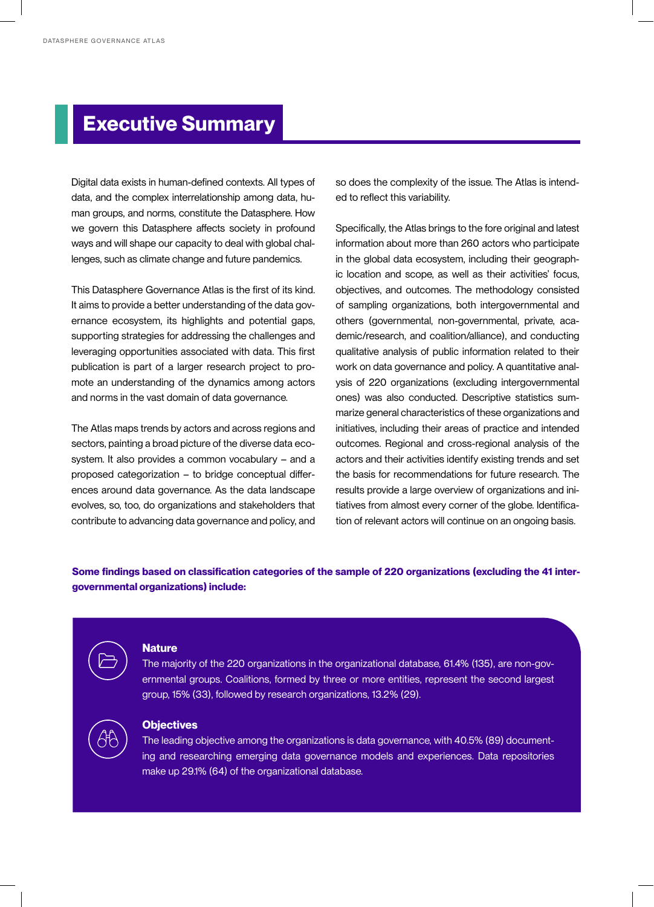# **Executive Summary**

Digital data exists in human-defined contexts. All types of data, and the complex interrelationship among data, human groups, and norms, constitute the Datasphere. How we govern this Datasphere affects society in profound ways and will shape our capacity to deal with global challenges, such as climate change and future pandemics.

This Datasphere Governance Atlas is the first of its kind. It aims to provide a better understanding of the data governance ecosystem, its highlights and potential gaps, supporting strategies for addressing the challenges and leveraging opportunities associated with data. This first publication is part of a larger research project to promote an understanding of the dynamics among actors and norms in the vast domain of data governance.

The Atlas maps trends by actors and across regions and sectors, painting a broad picture of the diverse data ecosystem. It also provides a common vocabulary – and a proposed categorization – to bridge conceptual differences around data governance. As the data landscape evolves, so, too, do organizations and stakeholders that contribute to advancing data governance and policy, and so does the complexity of the issue. The Atlas is intended to reflect this variability.

Specifically, the Atlas brings to the fore original and latest information about more than 260 actors who participate in the global data ecosystem, including their geographic location and scope, as well as their activities' focus, objectives, and outcomes. The methodology consisted of sampling organizations, both intergovernmental and others (governmental, non-governmental, private, academic/research, and coalition/alliance), and conducting qualitative analysis of public information related to their work on data governance and policy. A quantitative analysis of 220 organizations (excluding intergovernmental ones) was also conducted. Descriptive statistics summarize general characteristics of these organizations and initiatives, including their areas of practice and intended outcomes. Regional and cross-regional analysis of the actors and their activities identify existing trends and set the basis for recommendations for future research. The results provide a large overview of organizations and initiatives from almost every corner of the globe. Identification of relevant actors will continue on an ongoing basis.

**Some findings based on classification categories of the sample of 220 organizations (excluding the 41 intergovernmental organizations) include:**

#### **Nature**

The majority of the 220 organizations in the organizational database, 61.4% (135), are non-governmental groups. Coalitions, formed by three or more entities, represent the second largest group, 15% (33), followed by research organizations, 13.2% (29).

## **Objectives**

The leading objective among the organizations is data governance, with 40.5% (89) documenting and researching emerging data governance models and experiences. Data repositories make up 29.1% (64) of the organizational database.